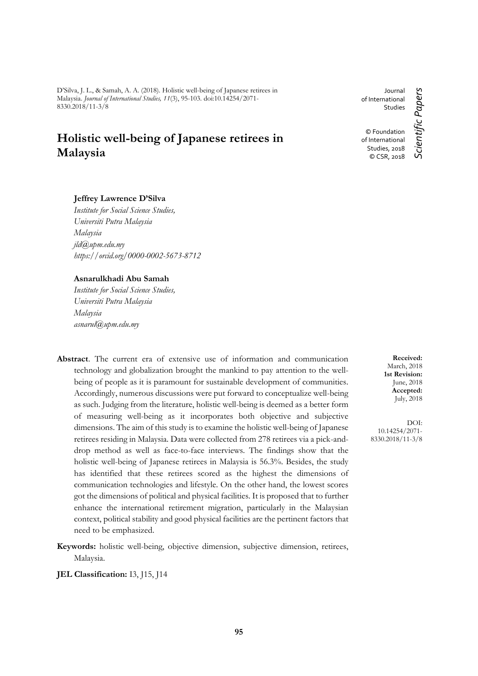D'Silva, J. L., & Samah, A. A. (2018). Holistic well-being of Japanese retirees in Malaysia. *Journal of International Studies, 11*(3), 95-103. doi:10.14254/2071- 8330.2018/11-3/8

# **Holistic well-being of Japanese retirees in Malaysia**

# **Jeffrey Lawrence D'Silva**

*Institute for Social Science Studies, Universiti Putra Malaysia Malaysia jld@upm.edu.my https://orcid.org/0000-0002-5673-8712*

#### **Asnarulkhadi Abu Samah**

*Institute for Social Science Studies, Universiti Putra Malaysia Malaysia asnarul@upm.edu.my*

- **Abstract**. The current era of extensive use of information and communication technology and globalization brought the mankind to pay attention to the wellbeing of people as it is paramount for sustainable development of communities. Accordingly, numerous discussions were put forward to conceptualize well-being as such. Judging from the literature, holistic well-being is deemed as a better form of measuring well-being as it incorporates both objective and subjective dimensions. The aim of this study is to examine the holistic well-being of Japanese retirees residing in Malaysia. Data were collected from 278 retirees via a pick-anddrop method as well as face-to-face interviews. The findings show that the holistic well-being of Japanese retirees in Malaysia is 56.3%. Besides, the study has identified that these retirees scored as the highest the dimensions of communication technologies and lifestyle. On the other hand, the lowest scores got the dimensions of political and physical facilities. It is proposed that to further enhance the international retirement migration, particularly in the Malaysian context, political stability and good physical facilities are the pertinent factors that need to be emphasized.
- **Keywords:** holistic well-being, objective dimension, subjective dimension, retirees, Malaysia.
- **JEL Classification:** I3, J15, J14

Journal of International Studies © Foundation of International

> Studies, 2018 © CSR, 2018

Scientific Papers *Scientific Papers*

**Received:** March, 2018 **1st Revision:** June, 2018 **Accepted:** July, 2018

DOI: 10.14254/2071- 8330.2018/11-3/8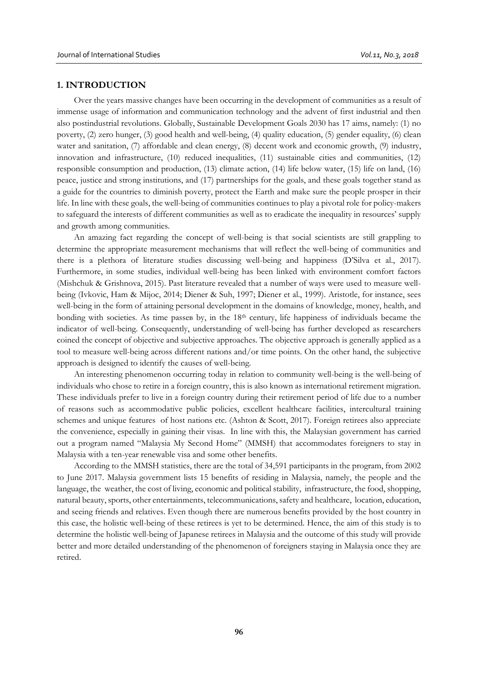#### **1. INTRODUCTION**

Over the years massive changes have been occurring in the development of communities as a result of immense usage of information and communication technology and the advent of first industrial and then also postindustrial revolutions. Globally, Sustainable Development Goals 2030 has 17 aims, namely: (1) no poverty, (2) zero hunger, (3) good health and well-being, (4) quality education, (5) gender equality, (6) clean water and sanitation, (7) affordable and clean energy, (8) decent work and economic growth, (9) industry, innovation and infrastructure, (10) reduced inequalities, (11) sustainable cities and communities, (12) responsible consumption and production, (13) climate action, (14) life below water, (15) life on land, (16) peace, justice and strong institutions, and (17) partnerships for the goals, and these goals together stand as a guide for the countries to diminish poverty, protect the Earth and make sure the people prosper in their life. In line with these goals, the well-being of communities continues to play a pivotal role for policy-makers to safeguard the interests of different communities as well as to eradicate the inequality in resources' supply and growth among communities.

An amazing fact regarding the concept of well-being is that social scientists are still grappling to determine the appropriate measurement mechanisms that will reflect the well-being of communities and there is a plethora of literature studies discussing well-being and happiness (D'Silva et al., 2017). Furthermore, in some studies, individual well-being has been linked with environment comfort factors (Mishchuk & Grishnova, 2015). Past literature revealed that a number of ways were used to measure wellbeing (Ivkovic, Ham & Mijoc, 2014; Diener & Suh, 1997; Diener et al., 1999). Aristotle, for instance, sees well-being in the form of attaining personal development in the domains of knowledge, money, health, and bonding with societies. As time passes by, in the 18<sup>th</sup> century, life happiness of individuals became the indicator of well-being. Consequently, understanding of well-being has further developed as researchers coined the concept of objective and subjective approaches. The objective approach is generally applied as a tool to measure well-being across different nations and/or time points. On the other hand, the subjective approach is designed to identify the causes of well-being.

An interesting phenomenon occurring today in relation to community well-being is the well-being of individuals who chose to retire in a foreign country, this is also known as international retirement migration. These individuals prefer to live in a foreign country during their retirement period of life due to a number of reasons such as accommodative public policies, excellent healthcare facilities, intercultural training schemes and unique features of host nations etc. (Ashton & Scott, 2017). Foreign retirees also appreciate the convenience, especially in gaining their visas. In line with this, the Malaysian government has carried out a program named "Malaysia My Second Home" (MMSH) that accommodates foreigners to stay in Malaysia with a ten-year renewable visa and some other benefits.

According to the MMSH statistics, there are the total of 34,591 participants in the program, from 2002 to June 2017. Malaysia government lists 15 benefits of residing in Malaysia, namely, the people and the language, the weather, the cost of living, economic and political stability, infrastructure, the food, shopping, natural beauty, sports, other entertainments, telecommunications, safety and healthcare, location, education, and seeing friends and relatives. Even though there are numerous benefits provided by the host country in this case, the holistic well-being of these retirees is yet to be determined. Hence, the aim of this study is to determine the holistic well-being of Japanese retirees in Malaysia and the outcome of this study will provide better and more detailed understanding of the phenomenon of foreigners staying in Malaysia once they are retired.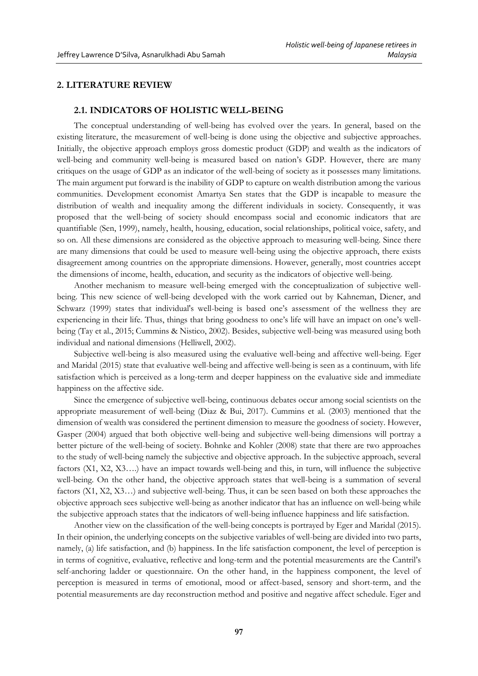# **2. LITERATURE REVIEW**

## **2.1. INDICATORS OF HOLISTIC WELL-BEING**

The conceptual understanding of well-being has evolved over the years. In general, based on the existing literature, the measurement of well-being is done using the objective and subjective approaches. Initially, the objective approach employs gross domestic product (GDP) and wealth as the indicators of well-being and community well-being is measured based on nation's GDP. However, there are many critiques on the usage of GDP as an indicator of the well-being of society as it possesses many limitations. The main argument put forward is the inability of GDP to capture on wealth distribution among the various communities. Development economist Amartya Sen states that the GDP is incapable to measure the distribution of wealth and inequality among the different individuals in society. Consequently, it was proposed that the well-being of society should encompass social and economic indicators that are quantifiable (Sen, 1999), namely, health, housing, education, social relationships, political voice, safety, and so on. All these dimensions are considered as the objective approach to measuring well-being. Since there are many dimensions that could be used to measure well-being using the objective approach, there exists disagreement among countries on the appropriate dimensions. However, generally, most countries accept the dimensions of income, health, education, and security as the indicators of objective well-being.

Another mechanism to measure well-being emerged with the conceptualization of subjective wellbeing. This new science of well-being developed with the work carried out by Kahneman, Diener, and Schwarz (1999) states that individual's well-being is based one's assessment of the wellness they are experiencing in their life. Thus, things that bring goodness to one's life will have an impact on one's wellbeing (Tay et al., 2015; Cummins & Nistico, 2002). Besides, subjective well-being was measured using both individual and national dimensions (Helliwell, 2002).

Subjective well-being is also measured using the evaluative well-being and affective well-being. Eger and Maridal (2015) state that evaluative well-being and affective well-being is seen as a continuum, with life satisfaction which is perceived as a long-term and deeper happiness on the evaluative side and immediate happiness on the affective side.

Since the emergence of subjective well-being, continuous debates occur among social scientists on the appropriate measurement of well-being (Diaz & Bui, 2017). Cummins et al. (2003) mentioned that the dimension of wealth was considered the pertinent dimension to measure the goodness of society. However, Gasper (2004) argued that both objective well-being and subjective well-being dimensions will portray a better picture of the well-being of society. Bohnke and Kohler (2008) state that there are two approaches to the study of well-being namely the subjective and objective approach. In the subjective approach, several factors (X1, X2, X3….) have an impact towards well-being and this, in turn, will influence the subjective well-being. On the other hand, the objective approach states that well-being is a summation of several factors (X1, X2, X3…) and subjective well-being. Thus, it can be seen based on both these approaches the objective approach sees subjective well-being as another indicator that has an influence on well-being while the subjective approach states that the indicators of well-being influence happiness and life satisfaction.

Another view on the classification of the well-being concepts is portrayed by Eger and Maridal (2015). In their opinion, the underlying concepts on the subjective variables of well-being are divided into two parts, namely, (a) life satisfaction, and (b) happiness. In the life satisfaction component, the level of perception is in terms of cognitive, evaluative, reflective and long-term and the potential measurements are the Cantril's self-anchoring ladder or questionnaire. On the other hand, in the happiness component, the level of perception is measured in terms of emotional, mood or affect-based, sensory and short-term, and the potential measurements are day reconstruction method and positive and negative affect schedule. Eger and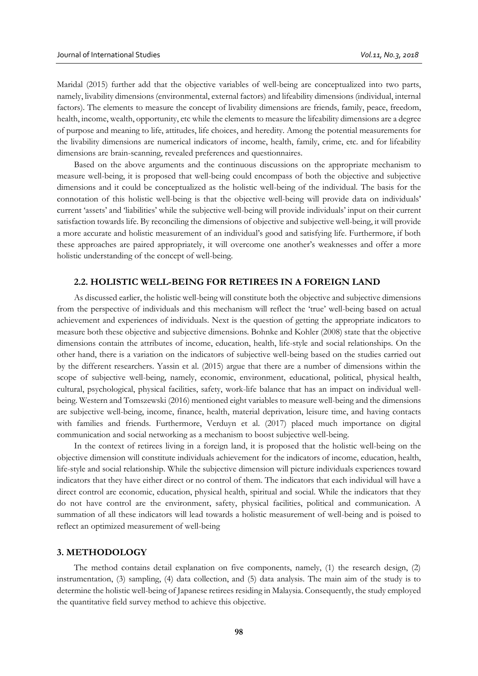Maridal (2015) further add that the objective variables of well-being are conceptualized into two parts, namely, livability dimensions (environmental, external factors) and lifeability dimensions (individual, internal factors). The elements to measure the concept of livability dimensions are friends, family, peace, freedom, health, income, wealth, opportunity, etc while the elements to measure the lifeability dimensions are a degree of purpose and meaning to life, attitudes, life choices, and heredity. Among the potential measurements for the livability dimensions are numerical indicators of income, health, family, crime, etc. and for lifeability dimensions are brain-scanning, revealed preferences and questionnaires.

Based on the above arguments and the continuous discussions on the appropriate mechanism to measure well-being, it is proposed that well-being could encompass of both the objective and subjective dimensions and it could be conceptualized as the holistic well-being of the individual. The basis for the connotation of this holistic well-being is that the objective well-being will provide data on individuals' current 'assets' and 'liabilities' while the subjective well-being will provide individuals' input on their current satisfaction towards life. By reconciling the dimensions of objective and subjective well-being, it will provide a more accurate and holistic measurement of an individual's good and satisfying life. Furthermore, if both these approaches are paired appropriately, it will overcome one another's weaknesses and offer a more holistic understanding of the concept of well-being.

## **2.2. HOLISTIC WELL-BEING FOR RETIREES IN A FOREIGN LAND**

As discussed earlier, the holistic well-being will constitute both the objective and subjective dimensions from the perspective of individuals and this mechanism will reflect the 'true' well-being based on actual achievement and experiences of individuals. Next is the question of getting the appropriate indicators to measure both these objective and subjective dimensions. Bohnke and Kohler (2008) state that the objective dimensions contain the attributes of income, education, health, life-style and social relationships. On the other hand, there is a variation on the indicators of subjective well-being based on the studies carried out by the different researchers. Yassin et al. (2015) argue that there are a number of dimensions within the scope of subjective well-being, namely, economic, environment, educational, political, physical health, cultural, psychological, physical facilities, safety, work-life balance that has an impact on individual wellbeing. Western and Tomszewski (2016) mentioned eight variables to measure well-being and the dimensions are subjective well-being, income, finance, health, material deprivation, leisure time, and having contacts with families and friends. Furthermore, Verduyn et al. (2017) placed much importance on digital communication and social networking as a mechanism to boost subjective well-being.

In the context of retirees living in a foreign land, it is proposed that the holistic well-being on the objective dimension will constitute individuals achievement for the indicators of income, education, health, life-style and social relationship. While the subjective dimension will picture individuals experiences toward indicators that they have either direct or no control of them. The indicators that each individual will have a direct control are economic, education, physical health, spiritual and social. While the indicators that they do not have control are the environment, safety, physical facilities, political and communication. A summation of all these indicators will lead towards a holistic measurement of well-being and is poised to reflect an optimized measurement of well-being

#### **3. METHODOLOGY**

The method contains detail explanation on five components, namely, (1) the research design, (2) instrumentation, (3) sampling, (4) data collection, and (5) data analysis. The main aim of the study is to determine the holistic well-being of Japanese retirees residing in Malaysia. Consequently, the study employed the quantitative field survey method to achieve this objective.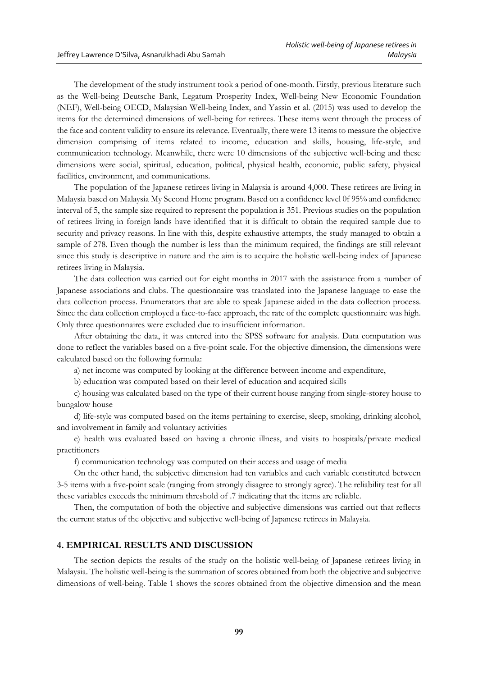The development of the study instrument took a period of one-month. Firstly, previous literature such as the Well-being Deutsche Bank, Legatum Prosperity Index, Well-being New Economic Foundation (NEF), Well-being OECD, Malaysian Well-being Index, and Yassin et al. (2015) was used to develop the items for the determined dimensions of well-being for retirees. These items went through the process of the face and content validity to ensure its relevance. Eventually, there were 13 items to measure the objective dimension comprising of items related to income, education and skills, housing, life-style, and communication technology. Meanwhile, there were 10 dimensions of the subjective well-being and these dimensions were social, spiritual, education, political, physical health, economic, public safety, physical facilities, environment, and communications.

The population of the Japanese retirees living in Malaysia is around 4,000. These retirees are living in Malaysia based on Malaysia My Second Home program. Based on a confidence level 0f 95% and confidence interval of 5, the sample size required to represent the population is 351. Previous studies on the population of retirees living in foreign lands have identified that it is difficult to obtain the required sample due to security and privacy reasons. In line with this, despite exhaustive attempts, the study managed to obtain a sample of 278. Even though the number is less than the minimum required, the findings are still relevant since this study is descriptive in nature and the aim is to acquire the holistic well-being index of Japanese retirees living in Malaysia.

The data collection was carried out for eight months in 2017 with the assistance from a number of Japanese associations and clubs. The questionnaire was translated into the Japanese language to ease the data collection process. Enumerators that are able to speak Japanese aided in the data collection process. Since the data collection employed a face-to-face approach, the rate of the complete questionnaire was high. Only three questionnaires were excluded due to insufficient information.

After obtaining the data, it was entered into the SPSS software for analysis. Data computation was done to reflect the variables based on a five-point scale. For the objective dimension, the dimensions were calculated based on the following formula:

a) net income was computed by looking at the difference between income and expenditure,

b) education was computed based on their level of education and acquired skills

c) housing was calculated based on the type of their current house ranging from single-storey house to bungalow house

d) life-style was computed based on the items pertaining to exercise, sleep, smoking, drinking alcohol, and involvement in family and voluntary activities

e) health was evaluated based on having a chronic illness, and visits to hospitals/private medical practitioners

f) communication technology was computed on their access and usage of media

On the other hand, the subjective dimension had ten variables and each variable constituted between 3-5 items with a five-point scale (ranging from strongly disagree to strongly agree). The reliability test for all these variables exceeds the minimum threshold of .7 indicating that the items are reliable.

Then, the computation of both the objective and subjective dimensions was carried out that reflects the current status of the objective and subjective well-being of Japanese retirees in Malaysia.

#### **4. EMPIRICAL RESULTS AND DISCUSSION**

The section depicts the results of the study on the holistic well-being of Japanese retirees living in Malaysia. The holistic well-being is the summation of scores obtained from both the objective and subjective dimensions of well-being. Table 1 shows the scores obtained from the objective dimension and the mean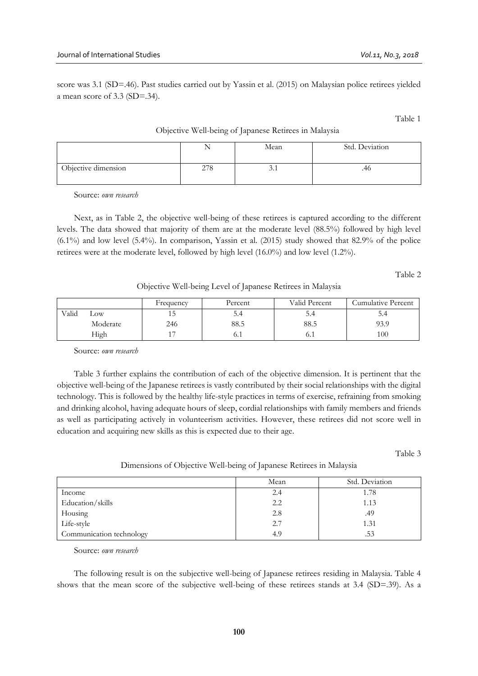score was 3.1 (SD=.46). Past studies carried out by Yassin et al. (2015) on Malaysian police retirees yielded a mean score of 3.3 (SD=.34).

Table 1

#### Objective Well-being of Japanese Retirees in Malaysia

|                     |            | Mean | Std. Deviation |
|---------------------|------------|------|----------------|
| Objective dimension | 270<br>210 | J.1  | 40             |

Source: *own research*

Next, as in Table 2, the objective well-being of these retirees is captured according to the different levels. The data showed that majority of them are at the moderate level (88.5%) followed by high level  $(6.1\%)$  and low level  $(5.4\%)$ . In comparison, Yassin et al.  $(2015)$  study showed that 82.9% of the police retirees were at the moderate level, followed by high level (16.0%) and low level (1.2%).

Table 2

Objective Well-being Level of Japanese Retirees in Malaysia

|       |          | Frequency | Percent | Valid Percent | Cumulative Percent |
|-------|----------|-----------|---------|---------------|--------------------|
| Valid | LOW      |           | J.4     | 4             | 4                  |
|       | Moderate | 246       | 88.5    | 88.5          | 93.9               |
|       | High     | -         | v. 1    | 0. I          | 100                |

Source: *own research*

Table 3 further explains the contribution of each of the objective dimension. It is pertinent that the objective well-being of the Japanese retirees is vastly contributed by their social relationships with the digital technology. This is followed by the healthy life-style practices in terms of exercise, refraining from smoking and drinking alcohol, having adequate hours of sleep, cordial relationships with family members and friends as well as participating actively in volunteerism activities. However, these retirees did not score well in education and acquiring new skills as this is expected due to their age.

Table 3

#### Dimensions of Objective Well-being of Japanese Retirees in Malaysia

|                          | Mean | Std. Deviation |
|--------------------------|------|----------------|
| Income                   | 2.4  | 1.78           |
| Education/skills         | 2.2  | 1.13           |
| Housing                  | 2.8  | .49            |
| Life-style               | 2.7  | 1.31           |
| Communication technology | 4.9  | .53            |

Source: *own research*

The following result is on the subjective well-being of Japanese retirees residing in Malaysia. Table 4 shows that the mean score of the subjective well-being of these retirees stands at 3.4 (SD=.39). As a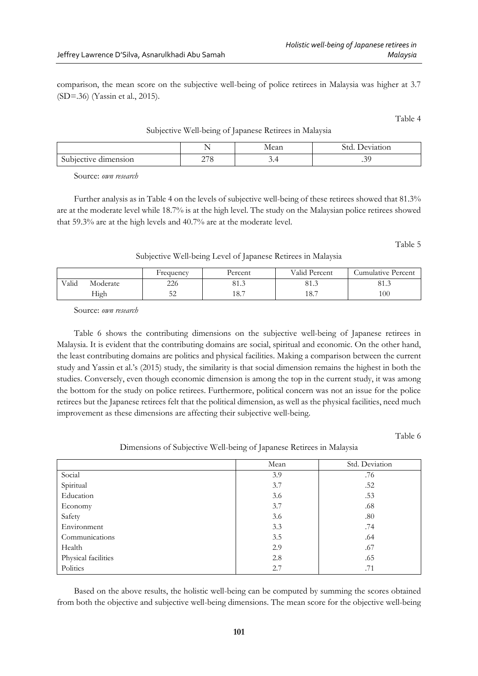comparison, the mean score on the subjective well-being of police retirees in Malaysia was higher at 3.7 (SD=.36) (Yassin et al., 2015).

Table 4

Subjective Well-being of Japanese Retirees in Malaysia

|                                   | <u>.</u>                      | مەم 1.<br>niean | eviation      |
|-----------------------------------|-------------------------------|-----------------|---------------|
| $\cap$<br>dimension<br>Subjective | 27c<br>— 1<br>$\cdot$ $\circ$ | .               | ⌒.<br>$\cdot$ |
|                                   |                               |                 |               |

Source: *own research*

Further analysis as in Table 4 on the levels of subjective well-being of these retirees showed that 81.3% are at the moderate level while 18.7% is at the high level. The study on the Malaysian police retirees showed that 59.3% are at the high levels and 40.7% are at the moderate level.

Table 5

Subjective Well-being Level of Japanese Retirees in Malaysia

|       |          | Frequency | Percent    | Valid Percent | Cumulative Percent |
|-------|----------|-----------|------------|---------------|--------------------|
| Valid | Moderate | 226       | 01<br>01.J | 01.J          | $^{\circ}$<br>01.J |
|       | High     | ىدر       | 1 O<br>10. | 18.7          | 100                |

Source: *own research*

Table 6 shows the contributing dimensions on the subjective well-being of Japanese retirees in Malaysia. It is evident that the contributing domains are social, spiritual and economic. On the other hand, the least contributing domains are politics and physical facilities. Making a comparison between the current study and Yassin et al.'s (2015) study, the similarity is that social dimension remains the highest in both the studies. Conversely, even though economic dimension is among the top in the current study, it was among the bottom for the study on police retirees. Furthermore, political concern was not an issue for the police retirees but the Japanese retirees felt that the political dimension, as well as the physical facilities, need much improvement as these dimensions are affecting their subjective well-being.

Table 6

Dimensions of Subjective Well-being of Japanese Retirees in Malaysia

|                     | Mean | Std. Deviation |
|---------------------|------|----------------|
| Social              | 3.9  | .76            |
| Spiritual           | 3.7  | .52            |
| Education           | 3.6  | .53            |
| Economy             | 3.7  | .68            |
| Safety              | 3.6  | .80            |
| Environment         | 3.3  | .74            |
| Communications      | 3.5  | .64            |
| Health              | 2.9  | .67            |
| Physical facilities | 2.8  | .65            |
| Politics            | 2.7  | .71            |

Based on the above results, the holistic well-being can be computed by summing the scores obtained from both the objective and subjective well-being dimensions. The mean score for the objective well-being

|  |  | parison, the mean score on the subjective well-being of police ret |  |
|--|--|--------------------------------------------------------------------|--|

Jeffrey Lawrence D'Silva, Asnarulkhadi Abu Samah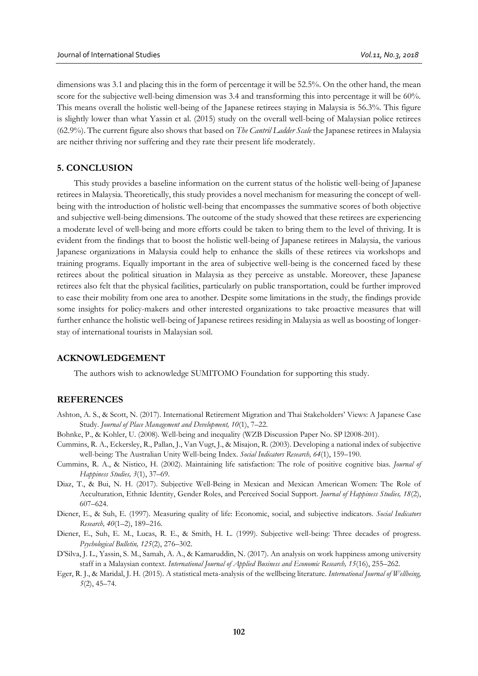dimensions was 3.1 and placing this in the form of percentage it will be 52.5%. On the other hand, the mean score for the subjective well-being dimension was 3.4 and transforming this into percentage it will be 60%. This means overall the holistic well-being of the Japanese retirees staying in Malaysia is 56.3%. This figure is slightly lower than what Yassin et al. (2015) study on the overall well-being of Malaysian police retirees (62.9%). The current figure also shows that based on *The Cantril Ladder Scale* the Japanese retirees in Malaysia are neither thriving nor suffering and they rate their present life moderately.

#### **5. CONCLUSION**

This study provides a baseline information on the current status of the holistic well-being of Japanese retirees in Malaysia. Theoretically, this study provides a novel mechanism for measuring the concept of wellbeing with the introduction of holistic well-being that encompasses the summative scores of both objective and subjective well-being dimensions. The outcome of the study showed that these retirees are experiencing a moderate level of well-being and more efforts could be taken to bring them to the level of thriving. It is evident from the findings that to boost the holistic well-being of Japanese retirees in Malaysia, the various Japanese organizations in Malaysia could help to enhance the skills of these retirees via workshops and training programs. Equally important in the area of subjective well-being is the concerned faced by these retirees about the political situation in Malaysia as they perceive as unstable. Moreover, these Japanese retirees also felt that the physical facilities, particularly on public transportation, could be further improved to ease their mobility from one area to another. Despite some limitations in the study, the findings provide some insights for policy-makers and other interested organizations to take proactive measures that will further enhance the holistic well-being of Japanese retirees residing in Malaysia as well as boosting of longerstay of international tourists in Malaysian soil.

#### **ACKNOWLEDGEMENT**

The authors wish to acknowledge SUMITOMO Foundation for supporting this study.

## **REFERENCES**

- Ashton, A. S., & Scott, N. (2017). International Retirement Migration and Thai Stakeholders' Views: A Japanese Case Study. *Journal of Place Management and Development, 10*(1), 7–22.
- Bohnke, P., & Kohler, U. (2008). Well-being and inequality (WZB Discussion Paper No. SP l2008-201).
- Cummins, R. A., Eckersley, R., Pallan, J., Van Vugt, J., & Misajon, R. (2003). Developing a national index of subjective well-being: The Australian Unity Well-being Index. *Social Indicators Research, 64*(1), 159–190.
- Cummins, R. A., & Nistico, H. (2002). Maintaining life satisfaction: The role of positive cognitive bias. *Journal of Happiness Studies, 3*(1), 37–69.
- Diaz, T., & Bui, N. H. (2017). Subjective Well-Being in Mexican and Mexican American Women: The Role of Acculturation, Ethnic Identity, Gender Roles, and Perceived Social Support. *Journal of Happiness Studies, 18*(2), 607–624.
- Diener, E., & Suh, E. (1997). Measuring quality of life: Economic, social, and subjective indicators. *Social Indicators Research, 40*(1–2), 189–216.
- Diener, E., Suh, E. M., Lucas, R. E., & Smith, H. L. (1999). Subjective well-being: Three decades of progress. *Psychological Bulletin, 125*(2), 276–302.
- D'Silva, J. L., Yassin, S. M., Samah, A. A., & Kamaruddin, N. (2017). An analysis on work happiness among university staff in a Malaysian context. *International Journal of Applied Business and Economic Research, 15*(16), 255–262.
- Eger, R. J., & Maridal, J. H. (2015). A statistical meta-analysis of the wellbeing literature. *International Journal of Wellbeing, 5*(2), 45–74.